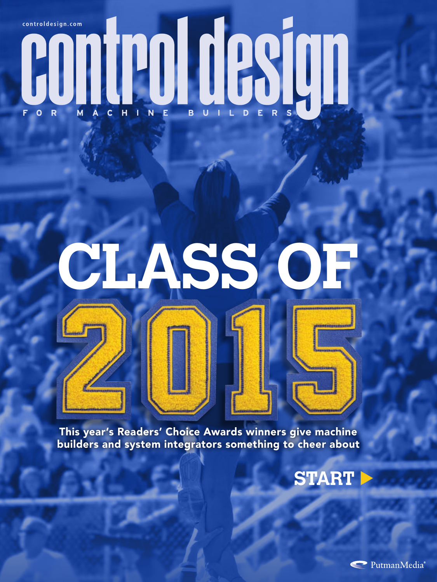## COMPOSITION CONTRACTED BUTLERS controldesign.com

# **CLASS OF**

This year's Readers' Choice Awards winners give machine builders and system integrators something to cheer about



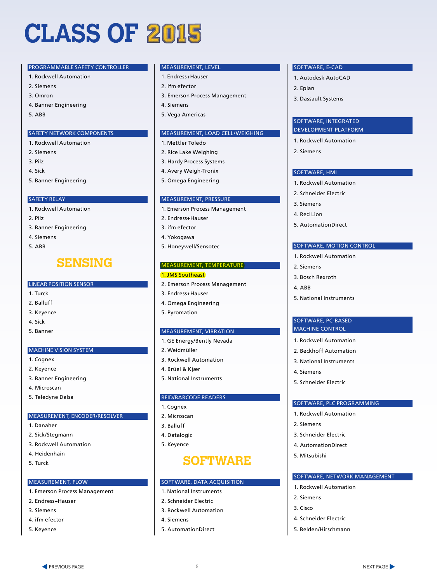## **CLASS OF**

#### PROGRAMMABLE SAFETY CONTROLLER

- 1. Rockwell Automation
- 2. Siemens
- 3. Omron
- 4. Banner Engineering
- 5. ABB

#### SAFETY NETWORK COMPONENTS

- 1. Rockwell Automation
- 2. Siemens
- 3. Pilz
- 4. Sick
- 5. Banner Engineering

#### SAFETY RELAY

- 1. Rockwell Automation
- 2. Pilz
- 3. Banner Engineering
- 4. Siemens
- 5. ABB

#### **SENSING**

#### LINEAR POSITION SENSOR

- 1. Turck
- 2. Balluff
- 3. Keyence
- 4. Sick
- 5. Banner

#### MACHINE VISION SYSTEM

- 1. Cognex
- 2. Keyence
- 3. Banner Engineering
- 4. Microscan
- 5. Teledyne Dalsa

#### MEASUREMENT, ENCODER/RESOLVER

- 1. Danaher
- 2. Sick/Stegmann
- 3. Rockwell Automation
- 4. Heidenhain
- 5. Turck

#### MEASUREMENT, FLOW

- 1. Emerson Process Management
- 2. Endress+Hauser
- 3. Siemens
- 4. ifm efector
- 5. Keyence

#### MEASUREMENT, LEVEL

- 1. Endress+Hauser
- 2. ifm efector
- 3. Emerson Process Management
- 4. Siemens
- 5. Vega Americas

#### MEASUREMENT, LOAD CELL/WEIGHING

- 1. Mettler Toledo
- 2. Rice Lake Weighing
- 3. Hardy Process Systems
- 4. Avery Weigh-Tronix
- 5. Omega Engineering

#### MEASUREMENT, PRESSURE

- 1. Emerson Process Management
- 2. Endress+Hauser
- 3. ifm efector
- 4. Yokogawa
- 5. Honeywell/Sensotec

#### MEASUREMENT, TEMPERATURE

#### 1. JMS Southeast

- 2. Emerson Process Management
- 3. Endress+Hauser
- 4. Omega Engineering
- 5. Pyromation

#### MEASUREMENT, VIBRATION

- 1. GE Energy/Bently Nevada
- 2. Weidmüller
- 3. Rockwell Automation
- 4. Brüel & Kjær
- 5. National Instruments

#### RFID/BARCODE READERS

- 1. Cognex
- 2. Microscan
- 3. Balluff
- 4. Datalogic
- 5. Keyence

#### **SOFTWARE**

#### SOFTWARE, DATA ACQUISITION

- 1. National Instruments
- 2. Schneider Electric
- 3. Rockwell Automation
- 4. Siemens
- 5. AutomationDirect

5

the PREVIOUS PAGE **NEXT PAGE 1** to the contract of the contract of the contract of the contract of the contract of the contract of the contract of the contract of the contract of the contract of the contract of the contrac

#### SOFTWARE, E-CAD

- 1. Autodesk AutoCAD
- 2. Eplan
- 3. Dassault Systems

#### SOFTWARE, INTEGRATED DEVELOPMENT PLATFORM

- 1. Rockwell Automation
- 2. Siemens

#### SOFTWARE, HMI

- 1. Rockwell Automation
- 2. Schneider Electric
- 3. Siemens
- 4. Red Lion

2. Siemens 3. Bosch Rexroth

4. Siemens

2. Siemens

2. Siemens 3. Cisco

5. Schneider Electric

3. Schneider Electric 4. AutomationDirect 5. Mitsubishi

1. Rockwell Automation

4. Schneider Electric 5. Belden/Hirschmann

SOFTWARE, PLC PROGRAMMING 1. Rockwell Automation

SOFTWARE, NETWORK MANAGEMENT

4. ABB

5. AutomationDirect

5. National Instruments

SOFTWARE, PC-BASED MACHINE CONTROL 1. Rockwell Automation 2. Beckhoff Automation 3. National Instruments

SOFTWARE, MOTION CONTROL 1. Rockwell Automation